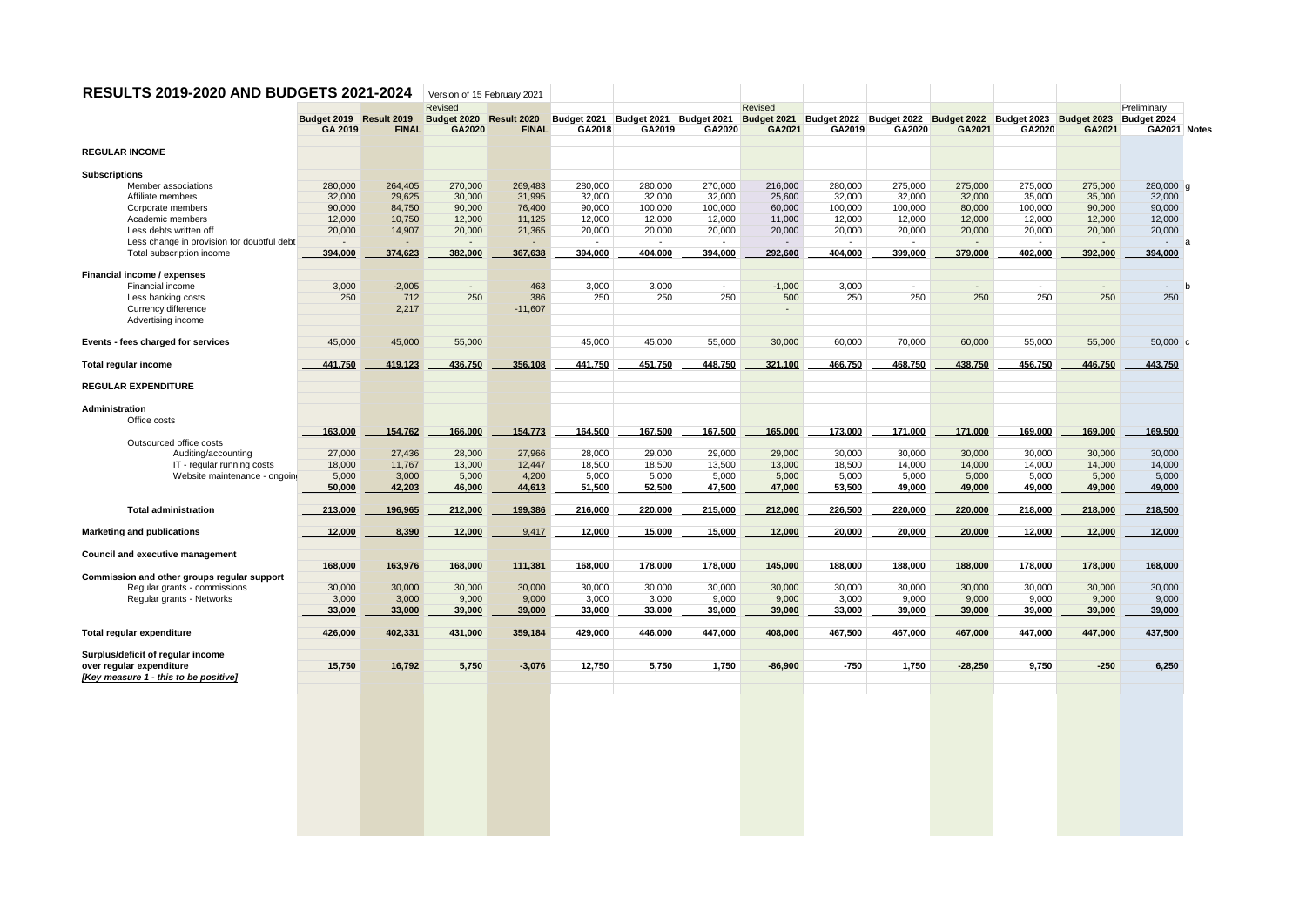|                                             |                         | RESULTS 2019-2020 AND BUDGETS 2021-2024 | Version of 15 February 2021        |              |         |         |         |                          |         |                                                                                                                       |           |                          |         |                                 |
|---------------------------------------------|-------------------------|-----------------------------------------|------------------------------------|--------------|---------|---------|---------|--------------------------|---------|-----------------------------------------------------------------------------------------------------------------------|-----------|--------------------------|---------|---------------------------------|
|                                             | Budget 2019 Result 2019 |                                         | Revised<br>Budget 2020 Result 2020 |              |         |         |         | Revised                  |         |                                                                                                                       |           |                          |         | Preliminary<br>Budget 2024      |
|                                             | GA 2019                 | <b>FINAL</b>                            | GA2020                             | <b>FINAL</b> | GA2018  | GA2019  | GA2020  | GA2021                   | GA2019  | Budget 2021 Budget 2021 Budget 2021 Budget 2021 Budget 2022 Budget 2022 Budget 2022 Budget 2023 Budget 2023<br>GA2020 | GA2021    | GA2020                   | GA2021  | GA2021 Notes                    |
| <b>REGULAR INCOME</b>                       |                         |                                         |                                    |              |         |         |         |                          |         |                                                                                                                       |           |                          |         |                                 |
| <b>Subscriptions</b>                        |                         |                                         |                                    |              |         |         |         |                          |         |                                                                                                                       |           |                          |         |                                 |
| Member associations                         | 280,000                 | 264,405                                 | 270,000                            | 269,483      | 280,000 | 280,000 | 270,000 | 216,000                  | 280,000 | 275,000                                                                                                               | 275,000   | 275,000                  | 275,000 | 280,000 g                       |
| Affiliate members                           | 32,000                  | 29,625                                  | 30,000                             | 31,995       | 32,000  | 32,000  | 32,000  | 25,600                   | 32.000  | 32.000                                                                                                                | 32,000    | 35,000                   | 35,000  | 32,000                          |
| Corporate members                           | 90,000                  | 84,750                                  | 90,000                             | 76,400       | 90,000  | 100,000 | 100,000 | 60,000                   | 100,000 | 100,000                                                                                                               | 80,000    | 100,000                  | 90,000  | 90,000                          |
| Academic members                            | 12,000                  | 10,750                                  | 12,000                             | 11,125       | 12,000  | 12,000  | 12,000  | 11,000                   | 12,000  | 12,000                                                                                                                | 12,000    | 12,000                   | 12,000  | 12,000                          |
| Less debts written off                      | 20,000                  | 14,907                                  | 20,000                             | 21,365       | 20,000  | 20,000  | 20,000  | 20,000                   | 20,000  | 20,000                                                                                                                | 20,000    | 20,000                   | 20,000  | 20,000                          |
| Less change in provision for doubtful debt  |                         |                                         |                                    |              |         |         |         |                          |         |                                                                                                                       |           |                          |         | $\overline{\phantom{a}}$<br>l a |
| Total subscription income                   | 394,000                 | 374,623                                 | 382,000                            | 367,638      | 394,000 | 404,000 | 394,000 | 292,600                  | 404,000 | 399,000                                                                                                               | 379,000   | 402,000                  | 392,000 | 394,000                         |
| Financial income / expenses                 |                         |                                         |                                    |              |         |         |         |                          |         |                                                                                                                       |           |                          |         |                                 |
| Financial income                            | 3,000                   | $-2,005$                                | $\overline{\phantom{a}}$           | 463          | 3,000   | 3,000   | $\sim$  | $-1,000$                 | 3,000   | $\sim$                                                                                                                |           | $\overline{\phantom{a}}$ |         | $\sim$<br>-h                    |
| Less banking costs                          | 250                     | 712                                     | 250                                | 386          | 250     | 250     | 250     | 500                      | 250     | 250                                                                                                                   | 250       | 250                      | 250     | 250                             |
| Currency difference                         |                         | 2,217                                   |                                    |              |         |         |         | $\overline{\phantom{a}}$ |         |                                                                                                                       |           |                          |         |                                 |
| Advertising income                          |                         |                                         |                                    | $-11,607$    |         |         |         |                          |         |                                                                                                                       |           |                          |         |                                 |
|                                             |                         |                                         |                                    |              |         |         |         |                          |         |                                                                                                                       |           |                          |         |                                 |
| Events - fees charged for services          | 45,000                  | 45,000                                  | 55,000                             |              | 45,000  | 45,000  | 55,000  | 30,000                   | 60,000  | 70,000                                                                                                                | 60,000    | 55,000                   | 55,000  | $50,000$ c                      |
| Total regular income                        | 441,750                 | 419,123                                 | 436,750                            | 356,108      | 441,750 | 451,750 | 448,750 | 321,100                  | 466,750 | 468,750                                                                                                               | 438,750   | 456,750                  | 446,750 | 443,750                         |
| <b>REGULAR EXPENDITURE</b>                  |                         |                                         |                                    |              |         |         |         |                          |         |                                                                                                                       |           |                          |         |                                 |
| Administration                              |                         |                                         |                                    |              |         |         |         |                          |         |                                                                                                                       |           |                          |         |                                 |
| Office costs                                |                         |                                         |                                    |              |         |         |         |                          |         |                                                                                                                       |           |                          |         |                                 |
|                                             | 163,000                 | 154,762                                 | 166,000                            | 154,773      | 164,500 | 167,500 | 167,500 | 165,000                  | 173,000 | 171,000                                                                                                               | 171,000   | 169,000                  | 169,000 | 169,500                         |
| Outsourced office costs                     |                         |                                         |                                    |              |         |         |         |                          |         |                                                                                                                       |           |                          |         |                                 |
| Auditing/accounting                         | 27,000                  | 27,436                                  | 28,000                             | 27,966       | 28,000  | 29,000  | 29,000  | 29,000                   | 30,000  | 30,000                                                                                                                | 30,000    | 30,000                   | 30,000  | 30,000                          |
| IT - regular running costs                  | 18,000                  | 11,767                                  | 13,000                             | 12,447       | 18,500  | 18,500  | 13,500  | 13,000                   | 18,500  | 14,000                                                                                                                | 14,000    | 14,000                   | 14,000  | 14,000                          |
| Website maintenance - ongoin                | 5,000                   | 3,000                                   | 5,000                              | 4,200        | 5,000   | 5,000   | 5,000   | 5,000                    | 5,000   | 5,000                                                                                                                 | 5,000     | 5,000                    | 5,000   | 5,000                           |
|                                             | 50,000                  | 42,203                                  | 46,000                             | 44,613       | 51,500  | 52,500  | 47,500  | 47,000                   | 53,500  | 49,000                                                                                                                | 49,000    | 49,000                   | 49,000  | 49,000                          |
|                                             |                         |                                         |                                    |              |         |         |         |                          |         |                                                                                                                       |           |                          |         |                                 |
| <b>Total administration</b>                 | 213,000                 | 196,965                                 | 212,000                            | 199,386      | 216,000 | 220,000 | 215,000 | 212,000                  | 226,500 | 220,000                                                                                                               | 220,000   | 218,000                  | 218,000 | 218,500                         |
| <b>Marketing and publications</b>           | 12,000                  | 8,390                                   | 12,000                             | 9,417        | 12,000  | 15,000  | 15,000  | 12,000                   | 20,000  | 20,000                                                                                                                | 20,000    | 12,000                   | 12,000  | 12,000                          |
| Council and executive management            |                         |                                         |                                    |              |         |         |         |                          |         |                                                                                                                       |           |                          |         |                                 |
|                                             | 168,000                 | 163,976                                 | 168,000                            | 111,381      | 168,000 | 178,000 | 178,000 | 145,000                  | 188,000 | 188,000                                                                                                               | 188,000   | 178,000                  | 178,000 | 168,000                         |
| Commission and other groups regular support |                         |                                         |                                    |              |         |         |         |                          |         |                                                                                                                       |           |                          |         |                                 |
| Regular grants - commissions                | 30,000                  | 30,000                                  | 30,000                             | 30,000       | 30,000  | 30,000  | 30,000  | 30,000                   | 30,000  | 30,000                                                                                                                | 30,000    | 30,000                   | 30,000  | 30,000                          |
| Regular grants - Networks                   | 3,000                   | 3,000                                   | 9,000                              | 9,000        | 3,000   | 3,000   | 9,000   | 9,000                    | 3,000   | 9,000                                                                                                                 | 9,000     | 9,000                    | 9,000   | 9,000                           |
|                                             | 33,000                  | 33,000                                  | 39,000                             | 39,000       | 33,000  | 33,000  | 39,000  | 39,000                   | 33,000  | 39,000                                                                                                                | 39,000    | 39,000                   | 39,000  | 39,000                          |
|                                             |                         |                                         |                                    |              |         |         |         |                          |         |                                                                                                                       |           |                          |         |                                 |
| Total regular expenditure                   | 426,000                 | 402,331                                 | 431,000                            | 359,184      | 429,000 | 446,000 | 447,000 | 408,000                  | 467,500 | 467,000                                                                                                               | 467,000   | 447,000                  | 447,000 | 437,500                         |
|                                             |                         |                                         |                                    |              |         |         |         |                          |         |                                                                                                                       |           |                          |         |                                 |
| Surplus/deficit of regular income           |                         |                                         |                                    |              | 12,750  | 5,750   | 1,750   | $-86,900$                | $-750$  | 1,750                                                                                                                 | $-28,250$ | 9,750                    | $-250$  | 6,250                           |